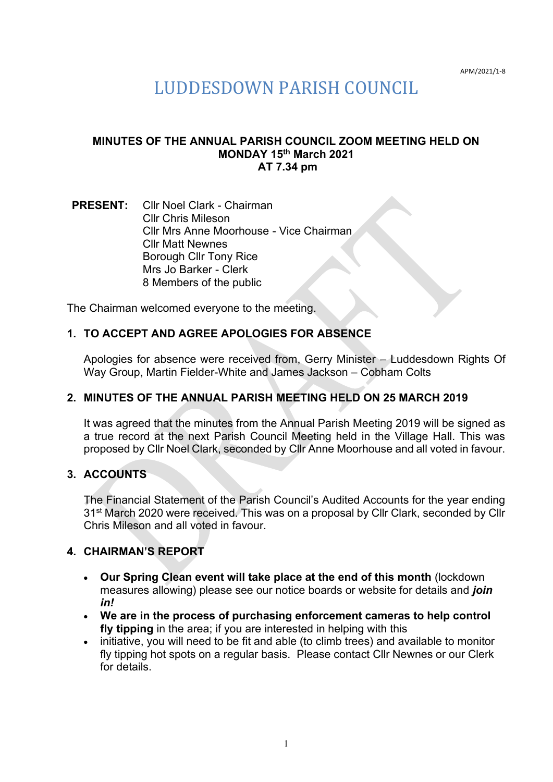APM/2021/1-8

# LUDDESDOWN PARISH COUNCIL

#### **MINUTES OF THE ANNUAL PARISH COUNCIL ZOOM MEETING HELD ON MONDAY 15th March 2021 AT 7.34 pm**

**PRESENT:** Cllr Noel Clark - Chairman Cllr Chris Mileson Cllr Mrs Anne Moorhouse - Vice Chairman Cllr Matt Newnes Borough Cllr Tony Rice Mrs Jo Barker - Clerk 8 Members of the public

The Chairman welcomed everyone to the meeting.

### **1. TO ACCEPT AND AGREE APOLOGIES FOR ABSENCE**

Apologies for absence were received from, Gerry Minister – Luddesdown Rights Of Way Group, Martin Fielder-White and James Jackson – Cobham Colts

#### **2. MINUTES OF THE ANNUAL PARISH MEETING HELD ON 25 MARCH 2019**

It was agreed that the minutes from the Annual Parish Meeting 2019 will be signed as a true record at the next Parish Council Meeting held in the Village Hall. This was proposed by Cllr Noel Clark, seconded by Cllr Anne Moorhouse and all voted in favour.

#### **3. ACCOUNTS**

The Financial Statement of the Parish Council's Audited Accounts for the year ending 31st March 2020 were received. This was on a proposal by Cllr Clark, seconded by Cllr Chris Mileson and all voted in favour.

#### **4. CHAIRMAN'S REPORT**

- **Our Spring Clean event will take place at the end of this month** (lockdown measures allowing) please see our notice boards or website for details and *join in!*
- **We are in the process of purchasing enforcement cameras to help control fly tipping** in the area; if you are interested in helping with this
- initiative, you will need to be fit and able (to climb trees) and available to monitor fly tipping hot spots on a regular basis. Please contact Cllr Newnes or our Clerk for details.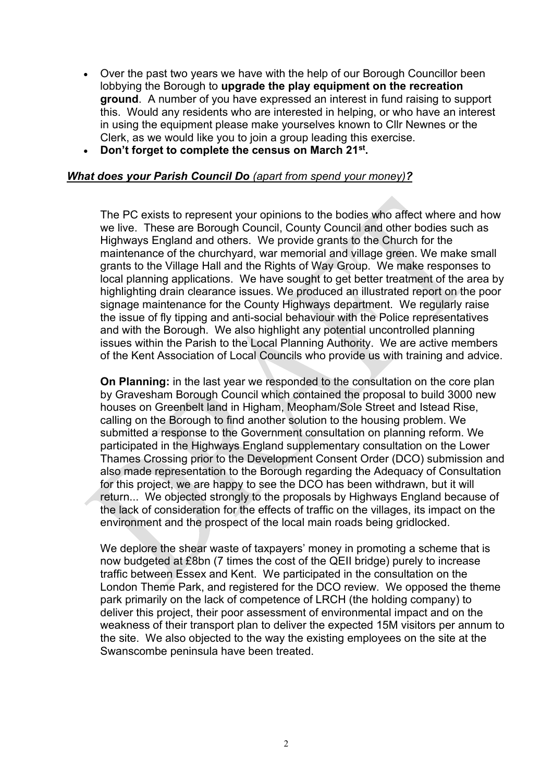- Over the past two years we have with the help of our Borough Councillor been lobbying the Borough to **upgrade the play equipment on the recreation ground**. A number of you have expressed an interest in fund raising to support this. Would any residents who are interested in helping, or who have an interest in using the equipment please make yourselves known to Cllr Newnes or the Clerk, as we would like you to join a group leading this exercise.
- **Don't forget to complete the census on March 21st .**

#### *What does your Parish Council Do (apart from spend your money)?*

The PC exists to represent your opinions to the bodies who affect where and how we live. These are Borough Council, County Council and other bodies such as Highways England and others. We provide grants to the Church for the maintenance of the churchyard, war memorial and village green. We make small grants to the Village Hall and the Rights of Way Group. We make responses to local planning applications. We have sought to get better treatment of the area by highlighting drain clearance issues. We produced an illustrated report on the poor signage maintenance for the County Highways department. We regularly raise the issue of fly tipping and anti-social behaviour with the Police representatives and with the Borough. We also highlight any potential uncontrolled planning issues within the Parish to the Local Planning Authority. We are active members of the Kent Association of Local Councils who provide us with training and advice.

**On Planning:** in the last year we responded to the consultation on the core plan by Gravesham Borough Council which contained the proposal to build 3000 new houses on Greenbelt land in Higham, Meopham/Sole Street and Istead Rise, calling on the Borough to find another solution to the housing problem. We submitted a response to the Government consultation on planning reform. We participated in the Highways England supplementary consultation on the Lower Thames Crossing prior to the Development Consent Order (DCO) submission and also made representation to the Borough regarding the Adequacy of Consultation for this project, we are happy to see the DCO has been withdrawn, but it will return... We objected strongly to the proposals by Highways England because of the lack of consideration for the effects of traffic on the villages, its impact on the environment and the prospect of the local main roads being gridlocked.

We deplore the shear waste of taxpayers' money in promoting a scheme that is now budgeted at £8bn (7 times the cost of the QEII bridge) purely to increase traffic between Essex and Kent. We participated in the consultation on the London Theme Park, and registered for the DCO review. We opposed the theme park primarily on the lack of competence of LRCH (the holding company) to deliver this project, their poor assessment of environmental impact and on the weakness of their transport plan to deliver the expected 15M visitors per annum to the site. We also objected to the way the existing employees on the site at the Swanscombe peninsula have been treated.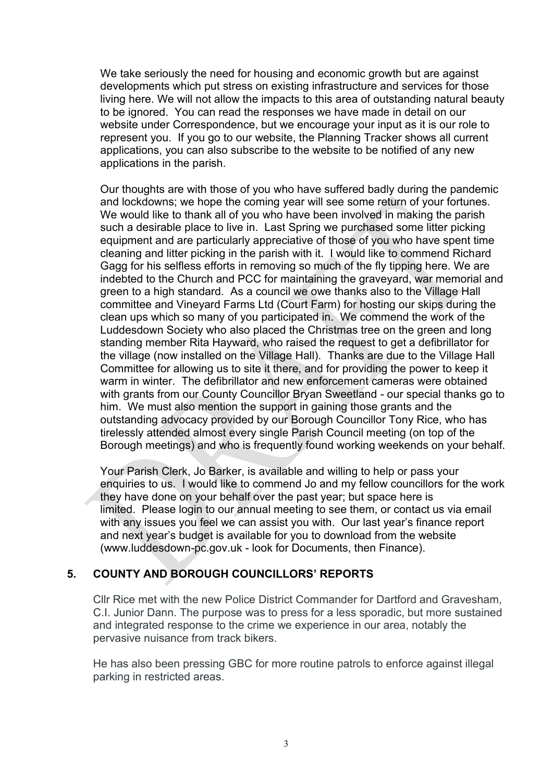We take seriously the need for housing and economic growth but are against developments which put stress on existing infrastructure and services for those living here. We will not allow the impacts to this area of outstanding natural beauty to be ignored. You can read the responses we have made in detail on our website under Correspondence, but we encourage your input as it is our role to represent you. If you go to our website, the Planning Tracker shows all current applications, you can also subscribe to the website to be notified of any new applications in the parish.

Our thoughts are with those of you who have suffered badly during the pandemic and lockdowns; we hope the coming year will see some return of your fortunes. We would like to thank all of you who have been involved in making the parish such a desirable place to live in. Last Spring we purchased some litter picking equipment and are particularly appreciative of those of you who have spent time cleaning and litter picking in the parish with it. I would like to commend Richard Gagg for his selfless efforts in removing so much of the fly tipping here. We are indebted to the Church and PCC for maintaining the graveyard, war memorial and green to a high standard. As a council we owe thanks also to the Village Hall committee and Vineyard Farms Ltd (Court Farm) for hosting our skips during the clean ups which so many of you participated in. We commend the work of the Luddesdown Society who also placed the Christmas tree on the green and long standing member Rita Hayward, who raised the request to get a defibrillator for the village (now installed on the Village Hall). Thanks are due to the Village Hall Committee for allowing us to site it there, and for providing the power to keep it warm in winter. The defibrillator and new enforcement cameras were obtained with grants from our County Councillor Bryan Sweetland - our special thanks go to him. We must also mention the support in gaining those grants and the outstanding advocacy provided by our Borough Councillor Tony Rice, who has tirelessly attended almost every single Parish Council meeting (on top of the Borough meetings) and who is frequently found working weekends on your behalf.

Your Parish Clerk, Jo Barker, is available and willing to help or pass your enquiries to us. I would like to commend Jo and my fellow councillors for the work they have done on your behalf over the past year; but space here is limited. Please login to our annual meeting to see them, or contact us via email with any issues you feel we can assist you with. Our last year's finance report and next year's budget is available for you to download from the website (www.luddesdown-pc.gov.uk - look for Documents, then Finance).

## **5. COUNTY AND BOROUGH COUNCILLORS' REPORTS**

Cllr Rice met with the new Police District Commander for Dartford and Gravesham, C.I. Junior Dann. The purpose was to press for a less sporadic, but more sustained and integrated response to the crime we experience in our area, notably the pervasive nuisance from track bikers.

He has also been pressing GBC for more routine patrols to enforce against illegal parking in restricted areas.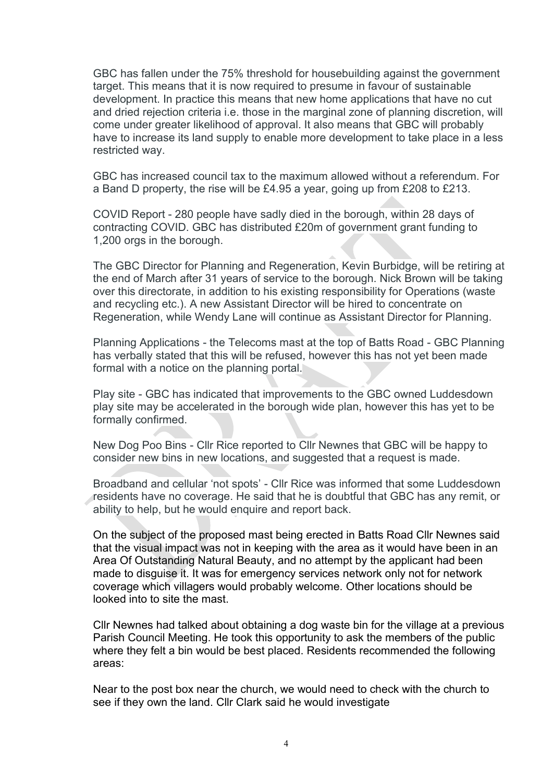GBC has fallen under the 75% threshold for housebuilding against the government target. This means that it is now required to presume in favour of sustainable development. In practice this means that new home applications that have no cut and dried rejection criteria i.e. those in the marginal zone of planning discretion, will come under greater likelihood of approval. It also means that GBC will probably have to increase its land supply to enable more development to take place in a less restricted way.

GBC has increased council tax to the maximum allowed without a referendum. For a Band D property, the rise will be £4.95 a year, going up from £208 to £213.

COVID Report - 280 people have sadly died in the borough, within 28 days of contracting COVID. GBC has distributed £20m of government grant funding to 1,200 orgs in the borough.

The GBC Director for Planning and Regeneration, Kevin Burbidge, will be retiring at the end of March after 31 years of service to the borough. Nick Brown will be taking over this directorate, in addition to his existing responsibility for Operations (waste and recycling etc.). A new Assistant Director will be hired to concentrate on Regeneration, while Wendy Lane will continue as Assistant Director for Planning.

Planning Applications - the Telecoms mast at the top of Batts Road - GBC Planning has verbally stated that this will be refused, however this has not yet been made formal with a notice on the planning portal.

Play site - GBC has indicated that improvements to the GBC owned Luddesdown play site may be accelerated in the borough wide plan, however this has yet to be formally confirmed.

New Dog Poo Bins - Cllr Rice reported to Cllr Newnes that GBC will be happy to consider new bins in new locations, and suggested that a request is made.

Broadband and cellular 'not spots' - Cllr Rice was informed that some Luddesdown residents have no coverage. He said that he is doubtful that GBC has any remit, or ability to help, but he would enquire and report back.

On the subject of the proposed mast being erected in Batts Road Cllr Newnes said that the visual impact was not in keeping with the area as it would have been in an Area Of Outstanding Natural Beauty, and no attempt by the applicant had been made to disguise it. It was for emergency services network only not for network coverage which villagers would probably welcome. Other locations should be looked into to site the mast.

Cllr Newnes had talked about obtaining a dog waste bin for the village at a previous Parish Council Meeting. He took this opportunity to ask the members of the public where they felt a bin would be best placed. Residents recommended the following areas:

Near to the post box near the church, we would need to check with the church to see if they own the land. Cllr Clark said he would investigate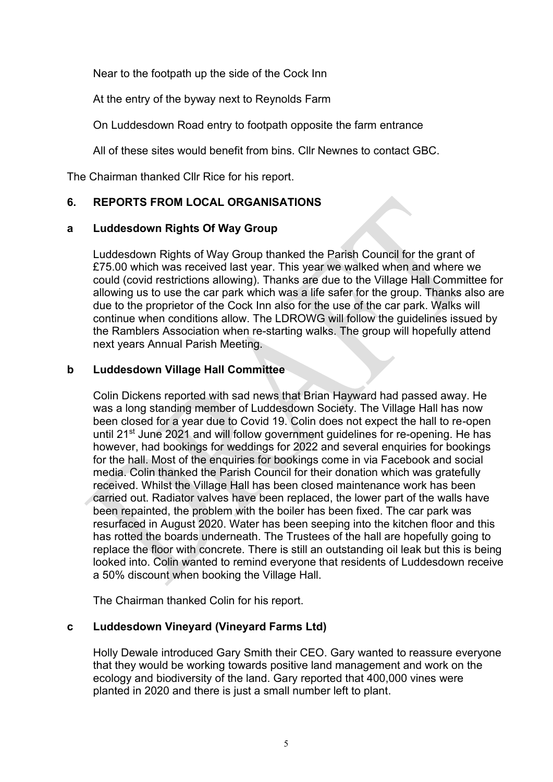Near to the footpath up the side of the Cock Inn

At the entry of the byway next to Reynolds Farm

On Luddesdown Road entry to footpath opposite the farm entrance

All of these sites would benefit from bins. Cllr Newnes to contact GBC.

The Chairman thanked Cllr Rice for his report.

## **6. REPORTS FROM LOCAL ORGANISATIONS**

#### **a Luddesdown Rights Of Way Group**

Luddesdown Rights of Way Group thanked the Parish Council for the grant of £75.00 which was received last year. This year we walked when and where we could (covid restrictions allowing). Thanks are due to the Village Hall Committee for allowing us to use the car park which was a life safer for the group. Thanks also are due to the proprietor of the Cock Inn also for the use of the car park. Walks will continue when conditions allow. The LDROWG will follow the guidelines issued by the Ramblers Association when re-starting walks. The group will hopefully attend next years Annual Parish Meeting.

### **b Luddesdown Village Hall Committee**

Colin Dickens reported with sad news that Brian Hayward had passed away. He was a long standing member of Luddesdown Society. The Village Hall has now been closed for a year due to Covid 19. Colin does not expect the hall to re-open until 21<sup>st</sup> June 2021 and will follow government guidelines for re-opening. He has however, had bookings for weddings for 2022 and several enquiries for bookings for the hall. Most of the enquiries for bookings come in via Facebook and social media. Colin thanked the Parish Council for their donation which was gratefully received. Whilst the Village Hall has been closed maintenance work has been carried out. Radiator valves have been replaced, the lower part of the walls have been repainted, the problem with the boiler has been fixed. The car park was resurfaced in August 2020. Water has been seeping into the kitchen floor and this has rotted the boards underneath. The Trustees of the hall are hopefully going to replace the floor with concrete. There is still an outstanding oil leak but this is being looked into. Colin wanted to remind everyone that residents of Luddesdown receive a 50% discount when booking the Village Hall.

The Chairman thanked Colin for his report.

## **c Luddesdown Vineyard (Vineyard Farms Ltd)**

Holly Dewale introduced Gary Smith their CEO. Gary wanted to reassure everyone that they would be working towards positive land management and work on the ecology and biodiversity of the land. Gary reported that 400,000 vines were planted in 2020 and there is just a small number left to plant.